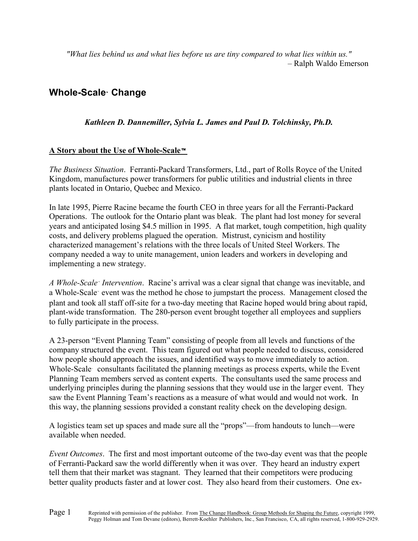*"What lies behind us and what lies before us are tiny compared to what lies within us."* – Ralph Waldo Emerson

# **Whole-Scale Change**

# *Kathleen D. Dannemiller, Sylvia L. James and Paul D. Tolchinsky, Ph.D.*

# **A Story about the Use of Whole-Scale**

*The Business Situation*. Ferranti-Packard Transformers, Ltd., part of Rolls Royce of the United Kingdom, manufactures power transformers for public utilities and industrial clients in three plants located in Ontario, Quebec and Mexico.

In late 1995, Pierre Racine became the fourth CEO in three years for all the Ferranti-Packard Operations. The outlook for the Ontario plant was bleak. The plant had lost money for several years and anticipated losing \$4.5 million in 1995. A flat market, tough competition, high quality costs, and delivery problems plagued the operation. Mistrust, cynicism and hostility characterized management's relations with the three locals of United Steel Workers. The company needed a way to unite management, union leaders and workers in developing and implementing a new strategy.

*A Whole-Scale Intervention*. Racine's arrival was a clear signal that change was inevitable, and a Whole-Scale event was the method he chose to jumpstart the process. Management closed the plant and took all staff off-site for a two-day meeting that Racine hoped would bring about rapid, plant-wide transformation. The 280-person event brought together all employees and suppliers to fully participate in the process.

A 23-person "Event Planning Team" consisting of people from all levels and functions of the company structured the event. This team figured out what people needed to discuss, considered how people should approach the issues, and identified ways to move immediately to action. Whole-Scale consultants facilitated the planning meetings as process experts, while the Event Planning Team members served as content experts. The consultants used the same process and underlying principles during the planning sessions that they would use in the larger event. They saw the Event Planning Team's reactions as a measure of what would and would not work. In this way, the planning sessions provided a constant reality check on the developing design.

A logistics team set up spaces and made sure all the "props"—from handouts to lunch—were available when needed.

*Event Outcomes*. The first and most important outcome of the two-day event was that the people of Ferranti-Packard saw the world differently when it was over. They heard an industry expert tell them that their market was stagnant. They learned that their competitors were producing better quality products faster and at lower cost. They also heard from their customers. One ex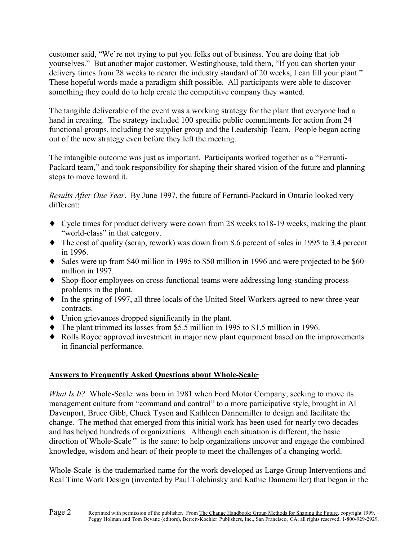customer said, "We're not trying to put you folks out of business. You are doing that job yourselves." But another major customer, Westinghouse, told them, "If you can shorten your delivery times from 28 weeks to nearer the industry standard of 20 weeks, I can fill your plant." These hopeful words made a paradigm shift possible. All participants were able to discover something they could do to help create the competitive company they wanted.

The tangible deliverable of the event was a working strategy for the plant that everyone had a hand in creating. The strategy included 100 specific public commitments for action from 24 functional groups, including the supplier group and the Leadership Team. People began acting out of the new strategy even before they left the meeting.

The intangible outcome was just as important. Participants worked together as a "Ferranti-Packard team," and took responsibility for shaping their shared vision of the future and planning steps to move toward it.

*Results After One Year*. By June 1997, the future of Ferranti-Packard in Ontario looked very different:

- ♦ Cycle times for product delivery were down from 28 weeks to18-19 weeks, making the plant "world-class" in that category.
- ♦ The cost of quality (scrap, rework) was down from 8.6 percent of sales in 1995 to 3.4 percent in 1996.
- ♦ Sales were up from \$40 million in 1995 to \$50 million in 1996 and were projected to be \$60 million in 1997.
- ♦ Shop-floor employees on cross-functional teams were addressing long-standing process problems in the plant.
- ♦ In the spring of 1997, all three locals of the United Steel Workers agreed to new three-year contracts.
- ♦ Union grievances dropped significantly in the plant.
- ♦ The plant trimmed its losses from \$5.5 million in 1995 to \$1.5 million in 1996.
- ♦ Rolls Royce approved investment in major new plant equipment based on the improvements in financial performance.

# **Answers to Frequently Asked Questions about Whole-Scale**

*What Is It?* Whole-Scale was born in 1981 when Ford Motor Company, seeking to move its management culture from "command and control" to a more participative style, brought in Al Davenport, Bruce Gibb, Chuck Tyson and Kathleen Dannemiller to design and facilitate the change. The method that emerged from this initial work has been used for nearly two decades and has helped hundreds of organizations. Although each situation is different, the basic direction of Whole-Scale<sup> $m$ </sup> is the same: to help organizations uncover and engage the combined knowledge, wisdom and heart of their people to meet the challenges of a changing world.

Whole-Scale is the trademarked name for the work developed as Large Group Interventions and Real Time Work Design (invented by Paul Tolchinsky and Kathie Dannemiller) that began in the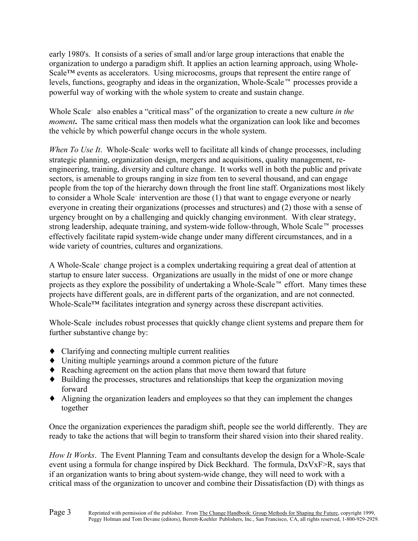early 1980's. It consists of a series of small and/or large group interactions that enable the organization to undergo a paradigm shift. It applies an action learning approach, using Whole-Scale™ events as accelerators. Using microcosms, groups that represent the entire range of levels, functions, geography and ideas in the organization, Whole-Scale<sup> $m$ </sup> processes provide a powerful way of working with the whole system to create and sustain change.

Whole Scale also enables a "critical mass" of the organization to create a new culture *in the moment*. The same critical mass then models what the organization can look like and becomes the vehicle by which powerful change occurs in the whole system.

*When To Use It.* Whole-Scale works well to facilitate all kinds of change processes, including strategic planning, organization design, mergers and acquisitions, quality management, reengineering, training, diversity and culture change. It works well in both the public and private sectors, is amenable to groups ranging in size from ten to several thousand, and can engage people from the top of the hierarchy down through the front line staff. Organizations most likely to consider a Whole Scale<sup>-</sup> intervention are those (1) that want to engage everyone or nearly everyone in creating their organizations (processes and structures) and (2) those with a sense of urgency brought on by a challenging and quickly changing environment. With clear strategy, strong leadership, adequate training, and system-wide follow-through, Whole Scale<sup> $m$ </sup> processes effectively facilitate rapid system-wide change under many different circumstances, and in a wide variety of countries, cultures and organizations.

A Whole-Scale change project is a complex undertaking requiring a great deal of attention at startup to ensure later success. Organizations are usually in the midst of one or more change projects as they explore the possibility of undertaking a Whole-Scale<sup> $m$ </sup> effort. Many times these projects have different goals, are in different parts of the organization, and are not connected. Whole-Scale™ facilitates integration and synergy across these discrepant activities.

Whole-Scale includes robust processes that quickly change client systems and prepare them for further substantive change by:

- ♦ Clarifying and connecting multiple current realities
- ♦ Uniting multiple yearnings around a common picture of the future
- ♦ Reaching agreement on the action plans that move them toward that future
- ♦ Building the processes, structures and relationships that keep the organization moving forward
- ♦ Aligning the organization leaders and employees so that they can implement the changes together

Once the organization experiences the paradigm shift, people see the world differently. They are ready to take the actions that will begin to transform their shared vision into their shared reality.

*How It Works*. The Event Planning Team and consultants develop the design for a Whole-Scale event using a formula for change inspired by Dick Beckhard. The formula, DxVxF>R, says that if an organization wants to bring about system-wide change, they will need to work with a critical mass of the organization to uncover and combine their Dissatisfaction (D) with things as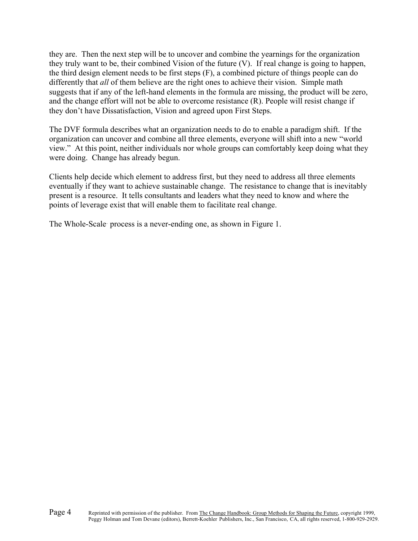they are. Then the next step will be to uncover and combine the yearnings for the organization they truly want to be, their combined Vision of the future (V). If real change is going to happen, the third design element needs to be first steps (F), a combined picture of things people can do differently that *all* of them believe are the right ones to achieve their vision. Simple math suggests that if any of the left-hand elements in the formula are missing, the product will be zero, and the change effort will not be able to overcome resistance (R). People will resist change if they don't have Dissatisfaction, Vision and agreed upon First Steps.

The DVF formula describes what an organization needs to do to enable a paradigm shift. If the organization can uncover and combine all three elements, everyone will shift into a new "world view." At this point, neither individuals nor whole groups can comfortably keep doing what they were doing. Change has already begun.

Clients help decide which element to address first, but they need to address all three elements eventually if they want to achieve sustainable change. The resistance to change that is inevitably present is a resource. It tells consultants and leaders what they need to know and where the points of leverage exist that will enable them to facilitate real change.

The Whole-Scale process is a never-ending one, as shown in Figure 1.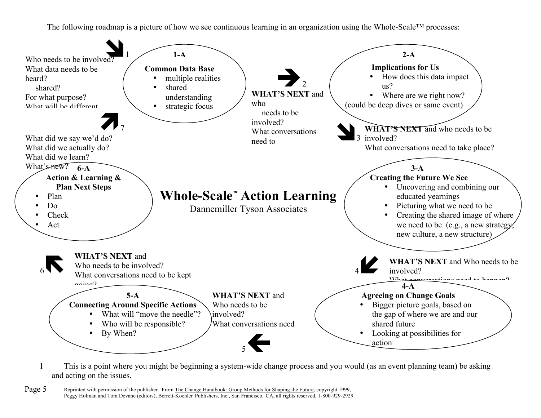

1 This is a point where you might be beginning a system-wide change process and you would (as an event planning team) be asking and acting on the issues.

Page 5 Reprinted with permission of the publisher. From The Change Handbook: Group Methods for Shaping the Future, copyright 1999, Peggy Holman and Tom Devane (editors), Berrett-Koehler Publishers, Inc., San Francisco, CA, all rights reserved, 1-800-929-2929.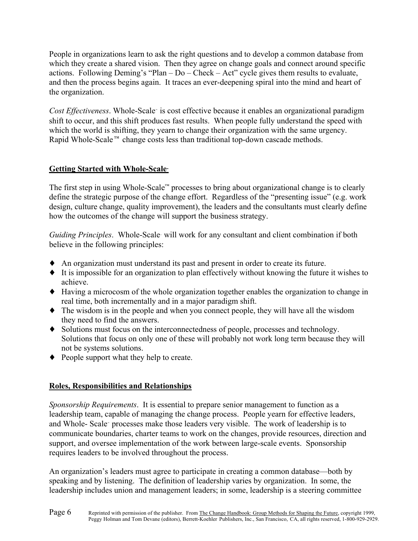People in organizations learn to ask the right questions and to develop a common database from which they create a shared vision. Then they agree on change goals and connect around specific actions. Following Deming's "Plan – Do – Check – Act" cycle gives them results to evaluate, and then the process begins again. It traces an ever-deepening spiral into the mind and heart of the organization.

*Cost Effectiveness.* Whole-Scale<sup>\*</sup> is cost effective because it enables an organizational paradigm shift to occur, and this shift produces fast results. When people fully understand the speed with which the world is shifting, they yearn to change their organization with the same urgency. Rapid Whole-Scale<sup> $m$ </sup> change costs less than traditional top-down cascade methods.

# **Getting Started with Whole-Scale**

The first step in using Whole-Scale™ processes to bring about organizational change is to clearly define the strategic purpose of the change effort. Regardless of the "presenting issue" (e.g. work design, culture change, quality improvement), the leaders and the consultants must clearly define how the outcomes of the change will support the business strategy.

*Guiding Principles*. Whole-Scale will work for any consultant and client combination if both believe in the following principles:

- ♦ An organization must understand its past and present in order to create its future.
- ♦ It is impossible for an organization to plan effectively without knowing the future it wishes to achieve.
- ♦ Having a microcosm of the whole organization together enables the organization to change in real time, both incrementally and in a major paradigm shift.
- ♦ The wisdom is in the people and when you connect people, they will have all the wisdom they need to find the answers.
- ♦ Solutions must focus on the interconnectedness of people, processes and technology. Solutions that focus on only one of these will probably not work long term because they will not be systems solutions.
- ♦ People support what they help to create.

# **Roles, Responsibilities and Relationships**

*Sponsorship Requirements*. It is essential to prepare senior management to function as a leadership team, capable of managing the change process. People yearn for effective leaders, and Whole- Scale processes make those leaders very visible. The work of leadership is to communicate boundaries, charter teams to work on the changes, provide resources, direction and support, and oversee implementation of the work between large-scale events. Sponsorship requires leaders to be involved throughout the process.

An organization's leaders must agree to participate in creating a common database—both by speaking and by listening. The definition of leadership varies by organization. In some, the leadership includes union and management leaders; in some, leadership is a steering committee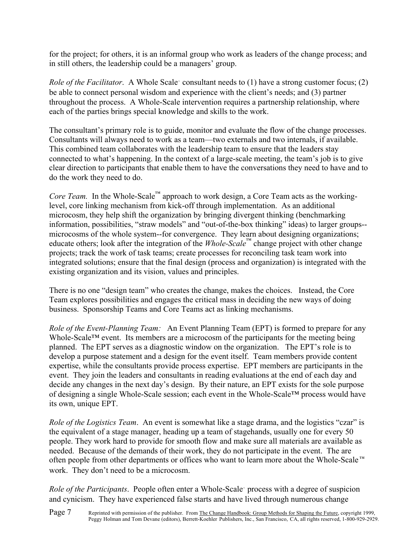for the project; for others, it is an informal group who work as leaders of the change process; and in still others, the leadership could be a managers' group.

*Role of the Facilitator.* A Whole Scale<sup>\*</sup> consultant needs to (1) have a strong customer focus; (2) be able to connect personal wisdom and experience with the client's needs; and (3) partner throughout the process. A Whole-Scale intervention requires a partnership relationship, where each of the parties brings special knowledge and skills to the work.

The consultant's primary role is to guide, monitor and evaluate the flow of the change processes. Consultants will always need to work as a team—two externals and two internals, if available. This combined team collaborates with the leadership team to ensure that the leaders stay connected to what's happening. In the context of a large-scale meeting, the team's job is to give clear direction to participants that enable them to have the conversations they need to have and to do the work they need to do.

*Core Team.* In the Whole-Scale™ approach to work design, a Core Team acts as the workinglevel, core linking mechanism from kick-off through implementation. As an additional microcosm, they help shift the organization by bringing divergent thinking (benchmarking information, possibilities, "straw models" and "out-of-the-box thinking" ideas) to larger groups- microcosms of the whole system--for convergence. They learn about designing organizations; educate others; look after the integration of the *Whole-Scale*™ change project with other change projects; track the work of task teams; create processes for reconciling task team work into integrated solutions; ensure that the final design (process and organization) is integrated with the existing organization and its vision, values and principles.

There is no one "design team" who creates the change, makes the choices. Instead, the Core Team explores possibilities and engages the critical mass in deciding the new ways of doing business. Sponsorship Teams and Core Teams act as linking mechanisms.

*Role of the Event-Planning Team:* An Event Planning Team (EPT) is formed to prepare for any Whole-Scale™ event. Its members are a microcosm of the participants for the meeting being planned. The EPT serves as a diagnostic window on the organization. The EPT's role is to develop a purpose statement and a design for the event itself. Team members provide content expertise, while the consultants provide process expertise. EPT members are participants in the event. They join the leaders and consultants in reading evaluations at the end of each day and decide any changes in the next day's design. By their nature, an EPT exists for the sole purpose of designing a single Whole-Scale session; each event in the Whole-Scale™ process would have its own, unique EPT.

*Role of the Logistics Team*. An event is somewhat like a stage drama, and the logistics "czar" is the equivalent of a stage manager, heading up a team of stagehands, usually one for every 50 people. They work hard to provide for smooth flow and make sure all materials are available as needed. Because of the demands of their work, they do not participate in the event. The are often people from other departments or offices who want to learn more about the Whole-Scale<sup>™</sup> work. They don't need to be a microcosm.

*Role of the Participants.* People often enter a Whole-Scale process with a degree of suspicion and cynicism. They have experienced false starts and have lived through numerous change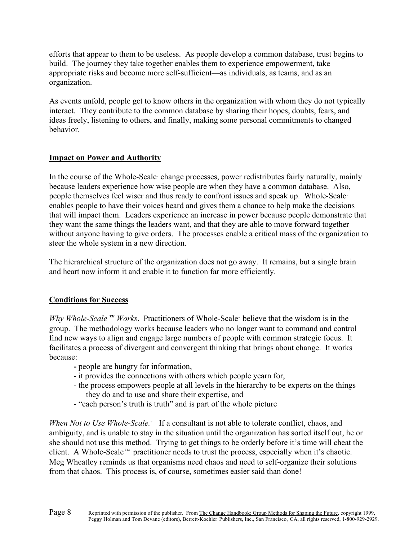efforts that appear to them to be useless. As people develop a common database, trust begins to build. The journey they take together enables them to experience empowerment, take appropriate risks and become more self-sufficient—as individuals, as teams, and as an organization.

As events unfold, people get to know others in the organization with whom they do not typically interact. They contribute to the common database by sharing their hopes, doubts, fears, and ideas freely, listening to others, and finally, making some personal commitments to changed behavior.

# **Impact on Power and Authority**

In the course of the Whole-Scale change processes, power redistributes fairly naturally, mainly because leaders experience how wise people are when they have a common database. Also, people themselves feel wiser and thus ready to confront issues and speak up. Whole-Scale enables people to have their voices heard and gives them a chance to help make the decisions that will impact them. Leaders experience an increase in power because people demonstrate that they want the same things the leaders want, and that they are able to move forward together without anyone having to give orders. The processes enable a critical mass of the organization to steer the whole system in a new direction.

The hierarchical structure of the organization does not go away. It remains, but a single brain and heart now inform it and enable it to function far more efficiently.

# **Conditions for Success**

*Why Whole-Scale*<sup>*IM</sup> Works*. Practitioners of Whole-Scale<sup>*r*</sup> believe that the wisdom is in the</sup> group. The methodology works because leaders who no longer want to command and control find new ways to align and engage large numbers of people with common strategic focus. It facilitates a process of divergent and convergent thinking that brings about change. It works because:

- **-** people are hungry for information,
- it provides the connections with others which people yearn for,
- the process empowers people at all levels in the hierarchy to be experts on the things they do and to use and share their expertise, and
- "each person's truth is truth" and is part of the whole picture

*When Not to Use Whole-Scale.* If a consultant is not able to tolerate conflict, chaos, and ambiguity, and is unable to stay in the situation until the organization has sorted itself out, he or she should not use this method. Trying to get things to be orderly before it's time will cheat the client. A Whole-Scale<sup> $m$ </sup> practitioner needs to trust the process, especially when it's chaotic. Meg Wheatley reminds us that organisms need chaos and need to self-organize their solutions from that chaos. This process is, of course, sometimes easier said than done!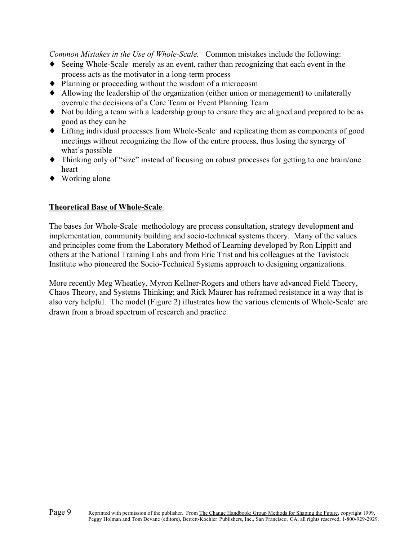*Common Mistakes in the Use of Whole-Scale.* Common mistakes include the following:

- Seeing Whole-Scale merely as an event, rather than recognizing that each event in the process acts as the motivator in a long-term process
- ♦ Planning or proceeding without the wisdom of a microcosm
- ♦ Allowing the leadership of the organization (either union or management) to unilaterally overrule the decisions of a Core Team or Event Planning Team
- ♦ Not building a team with a leadership group to ensure they are aligned and prepared to be as good as they can be
- Lifting individual processes from Whole-Scale and replicating them as components of good meetings without recognizing the flow of the entire process, thus losing the synergy of what's possible
- ♦ Thinking only of "size" instead of focusing on robust processes for getting to one brain/one heart
- ♦ Working alone

# **Theoretical Base of Whole-Scale**

The bases for Whole-Scale methodology are process consultation, strategy development and implementation, community building and socio-technical systems theory. Many of the values and principles come from the Laboratory Method of Learning developed by Ron Lippitt and others at the National Training Labs and from Eric Trist and his colleagues at the Tavistock Institute who pioneered the Socio-Technical Systems approach to designing organizations.

More recently Meg Wheatley, Myron Kellner-Rogers and others have advanced Field Theory, Chaos Theory, and Systems Thinking; and Rick Maurer has reframed resistance in a way that is also very helpful. The model (Figure 2) illustrates how the various elements of Whole-Scale are drawn from a broad spectrum of research and practice.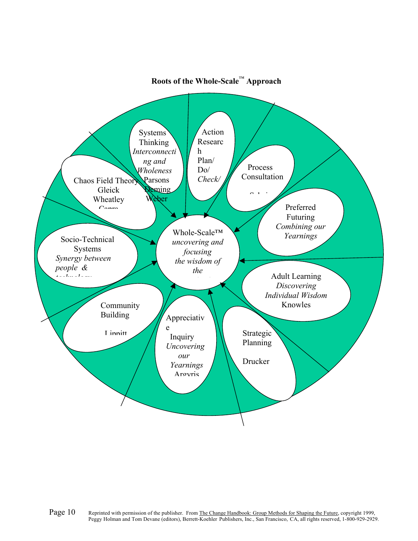

# **Roots of the Whole-Scale**™ **Approach**

Page 10 Reprinted with permission of the publisher. From The Change Handbook: Group Methods for Shaping the Future, copyright 1999,<br>Peggy Holman and Tom Devane (editors), Berrett-Koehler Publishers, Inc., San Francisco, CA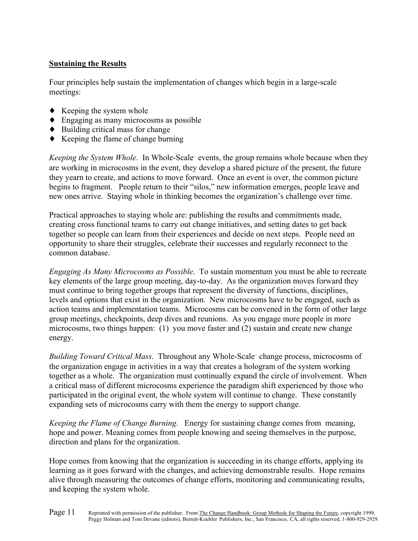# **Sustaining the Results**

Four principles help sustain the implementation of changes which begin in a large-scale meetings:

- $\blacklozenge$  Keeping the system whole
- ♦ Engaging as many microcosms as possible
- $\blacklozenge$  Building critical mass for change
- ♦ Keeping the flame of change burning

*Keeping the System Whole.* In Whole-Scale events, the group remains whole because when they are working in microcosms in the event, they develop a shared picture of the present, the future they yearn to create, and actions to move forward. Once an event is over, the common picture begins to fragment. People return to their "silos," new information emerges, people leave and new ones arrive. Staying whole in thinking becomes the organization's challenge over time.

Practical approaches to staying whole are: publishing the results and commitments made, creating cross functional teams to carry out change initiatives, and setting dates to get back together so people can learn from their experiences and decide on next steps. People need an opportunity to share their struggles, celebrate their successes and regularly reconnect to the common database.

*Engaging As Many Microcosms as Possible*. To sustain momentum you must be able to recreate key elements of the large group meeting, day-to-day. As the organization moves forward they must continue to bring together groups that represent the diversity of functions, disciplines, levels and options that exist in the organization. New microcosms have to be engaged, such as action teams and implementation teams. Microcosms can be convened in the form of other large group meetings, checkpoints, deep dives and reunions. As you engage more people in more microcosms, two things happen: (1) you move faster and (2) sustain and create new change energy.

*Building Toward Critical Mass*. Throughout any Whole-Scale change process, microcosms of the organization engage in activities in a way that creates a hologram of the system working together as a whole. The organization must continually expand the circle of involvement. When a critical mass of different microcosms experience the paradigm shift experienced by those who participated in the original event, the whole system will continue to change. These constantly expanding sets of microcosms carry with them the energy to support change.

*Keeping the Flame of Change Burning*. Energy for sustaining change comes from meaning, hope and power. Meaning comes from people knowing and seeing themselves in the purpose, direction and plans for the organization.

Hope comes from knowing that the organization is succeeding in its change efforts, applying its learning as it goes forward with the changes, and achieving demonstrable results. Hope remains alive through measuring the outcomes of change efforts, monitoring and communicating results, and keeping the system whole.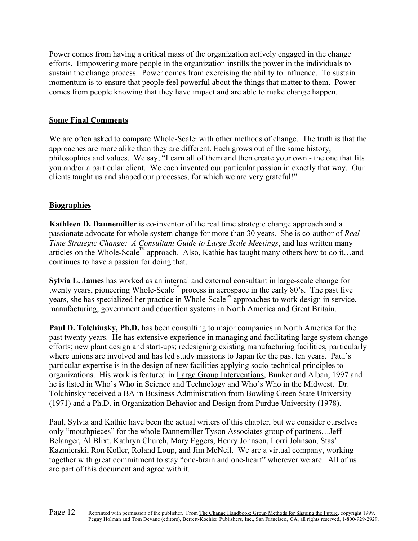Power comes from having a critical mass of the organization actively engaged in the change efforts. Empowering more people in the organization instills the power in the individuals to sustain the change process. Power comes from exercising the ability to influence. To sustain momentum is to ensure that people feel powerful about the things that matter to them. Power comes from people knowing that they have impact and are able to make change happen.

# **Some Final Comments**

We are often asked to compare Whole-Scale with other methods of change. The truth is that the approaches are more alike than they are different. Each grows out of the same history, philosophies and values. We say, "Learn all of them and then create your own - the one that fits you and/or a particular client. We each invented our particular passion in exactly that way. Our clients taught us and shaped our processes, for which we are very grateful!"

## **Biographies**

**Kathleen D. Dannemiller** is co-inventor of the real time strategic change approach and a passionate advocate for whole system change for more than 30 years. She is co-author of *Real Time Strategic Change: A Consultant Guide to Large Scale Meetings*, and has written many articles on the Whole-Scale™ approach. Also, Kathie has taught many others how to do it…and continues to have a passion for doing that.

**Sylvia L. James** has worked as an internal and external consultant in large-scale change for twenty years, pioneering Whole-Scale<sup>™</sup> process in aerospace in the early 80's. The past five years, she has specialized her practice in Whole-Scale™ approaches to work design in service, manufacturing, government and education systems in North America and Great Britain.

**Paul D. Tolchinsky, Ph.D.** has been consulting to major companies in North America for the past twenty years. He has extensive experience in managing and facilitating large system change efforts; new plant design and start-ups; redesigning existing manufacturing facilities, particularly where unions are involved and has led study missions to Japan for the past ten years. Paul's particular expertise is in the design of new facilities applying socio-technical principles to organizations. His work is featured in Large Group Interventions, Bunker and Alban, 1997 and he is listed in Who's Who in Science and Technology and Who's Who in the Midwest. Dr. Tolchinsky received a BA in Business Administration from Bowling Green State University (1971) and a Ph.D. in Organization Behavior and Design from Purdue University (1978).

Paul, Sylvia and Kathie have been the actual writers of this chapter, but we consider ourselves only "mouthpieces" for the whole Dannemiller Tyson Associates group of partners…Jeff Belanger, Al Blixt, Kathryn Church, Mary Eggers, Henry Johnson, Lorri Johnson, Stas' Kazmierski, Ron Koller, Roland Loup, and Jim McNeil. We are a virtual company, working together with great commitment to stay "one-brain and one-heart" wherever we are. All of us are part of this document and agree with it.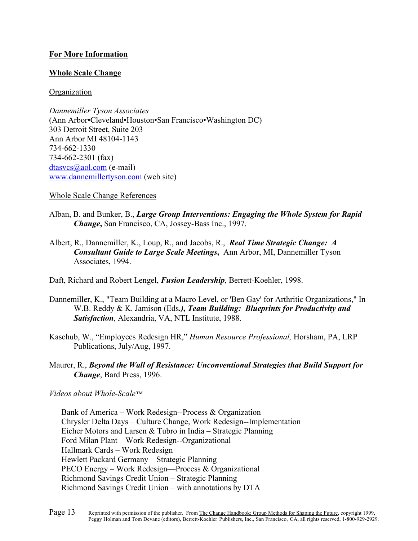## **For More Information**

## **Whole Scale Change**

**Organization** 

*Dannemiller Tyson Associates*  (Ann Arbor•Cleveland•Houston•San Francisco•Washington DC) 303 Detroit Street, Suite 203 Ann Arbor MI 48104-1143 734-662-1330 734-662-2301 (fax) dtasvcs@aol.com (e-mail) www.dannemillertyson.com (web site)

Whole Scale Change References

- Alban, B. and Bunker, B., *Large Group Interventions: Engaging the Whole System for Rapid Change***,** San Francisco, CA, Jossey-Bass Inc., 1997.
- Albert, R., Dannemiller, K., Loup, R., and Jacobs, R., *Real Time Strategic Change: A Consultant Guide to Large Scale Meetings***,** Ann Arbor, MI, Dannemiller Tyson Associates, 1994.

Daft, Richard and Robert Lengel, *Fusion Leadership*, Berrett-Koehler, 1998.

- Dannemiller, K., "Team Building at a Macro Level, or 'Ben Gay' for Arthritic Organizations," In W.B. Reddy & K. Jamison (Eds*.), Team Building: Blueprints for Productivity and Satisfaction*, Alexandria, VA, NTL Institute, 1988.
- Kaschub, W., "Employees Redesign HR," *Human Resource Professional,* Horsham, PA, LRP Publications, July/Aug, 1997.
- Maurer, R., *Beyond the Wall of Resistance: Unconventional Strategies that Build Support for Change*, Bard Press, 1996.

*Videos about Whole-Scale™*

Bank of America – Work Redesign--Process & Organization Chrysler Delta Days – Culture Change, Work Redesign--Implementation Eicher Motors and Larsen & Tubro in India – Strategic Planning Ford Milan Plant – Work Redesign--Organizational Hallmark Cards – Work Redesign Hewlett Packard Germany – Strategic Planning PECO Energy – Work Redesign—Process & Organizational Richmond Savings Credit Union – Strategic Planning Richmond Savings Credit Union – with annotations by DTA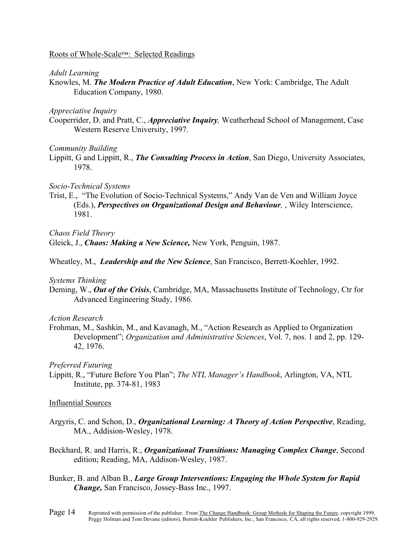## Roots of Whole-Scale™: Selected Readings

## *Adult Learning*

Knowles, M. *The Modern Practice of Adult Education*, New York: Cambridge, The Adult Education Company, 1980.

#### *Appreciative Inquiry*

Cooperrider, D. and Pratt, C., *Appreciative Inquiry,* Weatherhead School of Management, Case Western Reserve University, 1997.

## *Community Building*

Lippitt, G and Lippitt, R., *The Consulting Process in Action*, San Diego, University Associates, 1978.

## *Socio-Technical Systems*

Trist, E., "The Evolution of Socio-Technical Systems," Andy Van de Ven and William Joyce (Eds.), *Perspectives on Organizational Design and Behaviour,* , Wiley Interscience, 1981.

## *Chaos Field Theory*

Gleick, J., *Chaos: Making a New Science,* New York, Penguin, 1987.

## Wheatley, M., *Leadership and the New Science*, San Francisco, Berrett-Koehler, 1992.

## *Systems Thinking*

Deming, W., *Out of the Crisis*, Cambridge, MA, Massachusetts Institute of Technology, Ctr for Advanced Engineering Study, 1986.

## *Action Research*

Frohman, M., Sashkin, M., and Kavanagh, M., "Action Research as Applied to Organization Development"; *Organization and Administrative Sciences*, Vol. 7, nos. 1 and 2, pp. 129- 42, 1976.

## *Preferred Futuring*

Lippitt, R., "Future Before You Plan"; *The NTL Manager's Handbook*, Arlington, VA, NTL Institute, pp. 374-81, 1983

## Influential Sources

- Argyris, C. and Schon, D., *Organizational Learning: A Theory of Action Perspective*, Reading, MA., Addision-Wesley, 1978.
- Beckhard, R. and Harris, R., *Organizational Transitions: Managing Complex Change*, Second edition; Reading, MA, Addison-Wesley, 1987.
- Bunker, B. and Alban B., *Large Group Interventions: Engaging the Whole System for Rapid Change,* San Francisco, Jossey-Bass Inc., 1997.